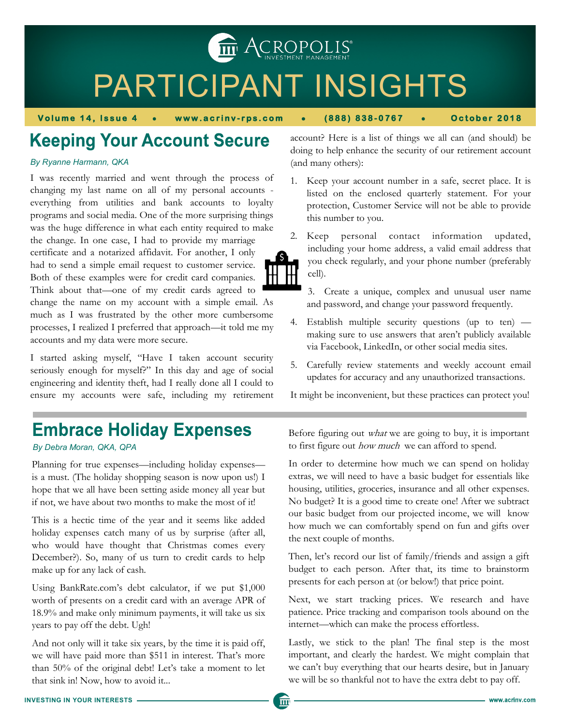**THE ACROPOLIS** 

# PARTICIPANT INSIGHTS

而

**Volume 14, Issue 4 • www.acrinv-rps.com • (888) 838-0767 • October 2018** 

### **Keeping Your Account Secure**

#### *By Ryanne Harmann, QKA*

I was recently married and went through the process of changing my last name on all of my personal accounts everything from utilities and bank accounts to loyalty programs and social media. One of the more surprising things was the huge difference in what each entity required to make the change. In one case, I had to provide my marriage certificate and a notarized affidavit. For another, I only had to send a simple email request to customer service. Both of these examples were for credit card companies. Think about that—one of my credit cards agreed to change the name on my account with a simple email. As much as I was frustrated by the other more cumbersome processes, I realized I preferred that approach—it told me my accounts and my data were more secure.

I started asking myself, "Have I taken account security seriously enough for myself?" In this day and age of social engineering and identity theft, had I really done all I could to ensure my accounts were safe, including my retirement account? Here is a list of things we all can (and should) be doing to help enhance the security of our retirement account (and many others):

- 1. Keep your account number in a safe, secret place. It is listed on the enclosed quarterly statement. For your protection, Customer Service will not be able to provide this number to you.
- 2. Keep personal contact information updated, including your home address, a valid email address that you check regularly, and your phone number (preferably cell).
	- 3. Create a unique, complex and unusual user name and password, and change your password frequently.
- 4. Establish multiple security questions (up to ten) making sure to use answers that aren't publicly available via Facebook, LinkedIn, or other social media sites.
- 5. Carefully review statements and weekly account email updates for accuracy and any unauthorized transactions.

It might be inconvenient, but these practices can protect you!

### **Embrace Holiday Expenses**

#### *By Debra Moran, QKA, QPA*

Planning for true expenses—including holiday expenses is a must. (The holiday shopping season is now upon us!) I hope that we all have been setting aside money all year but if not, we have about two months to make the most of it!

This is a hectic time of the year and it seems like added holiday expenses catch many of us by surprise (after all, who would have thought that Christmas comes every December?). So, many of us turn to credit cards to help make up for any lack of cash.

Using BankRate.com's debt calculator, if we put \$1,000 worth of presents on a credit card with an average APR of 18.9% and make only minimum payments, it will take us six years to pay off the debt. Ugh!

And not only will it take six years, by the time it is paid off, we will have paid more than \$511 in interest. That's more than 50% of the original debt! Let's take a moment to let that sink in! Now, how to avoid it...

Before figuring out what we are going to buy, it is important to first figure out how much we can afford to spend.

In order to determine how much we can spend on holiday extras, we will need to have a basic budget for essentials like housing, utilities, groceries, insurance and all other expenses. No budget? It is a good time to create one! After we subtract our basic budget from our projected income, we will know how much we can comfortably spend on fun and gifts over the next couple of months.

Then, let's record our list of family/friends and assign a gift budget to each person. After that, its time to brainstorm presents for each person at (or below!) that price point.

Next, we start tracking prices. We research and have patience. Price tracking and comparison tools abound on the internet—which can make the process effortless.

Lastly, we stick to the plan! The final step is the most important, and clearly the hardest. We might complain that we can't buy everything that our hearts desire, but in January we will be so thankful not to have the extra debt to pay off.